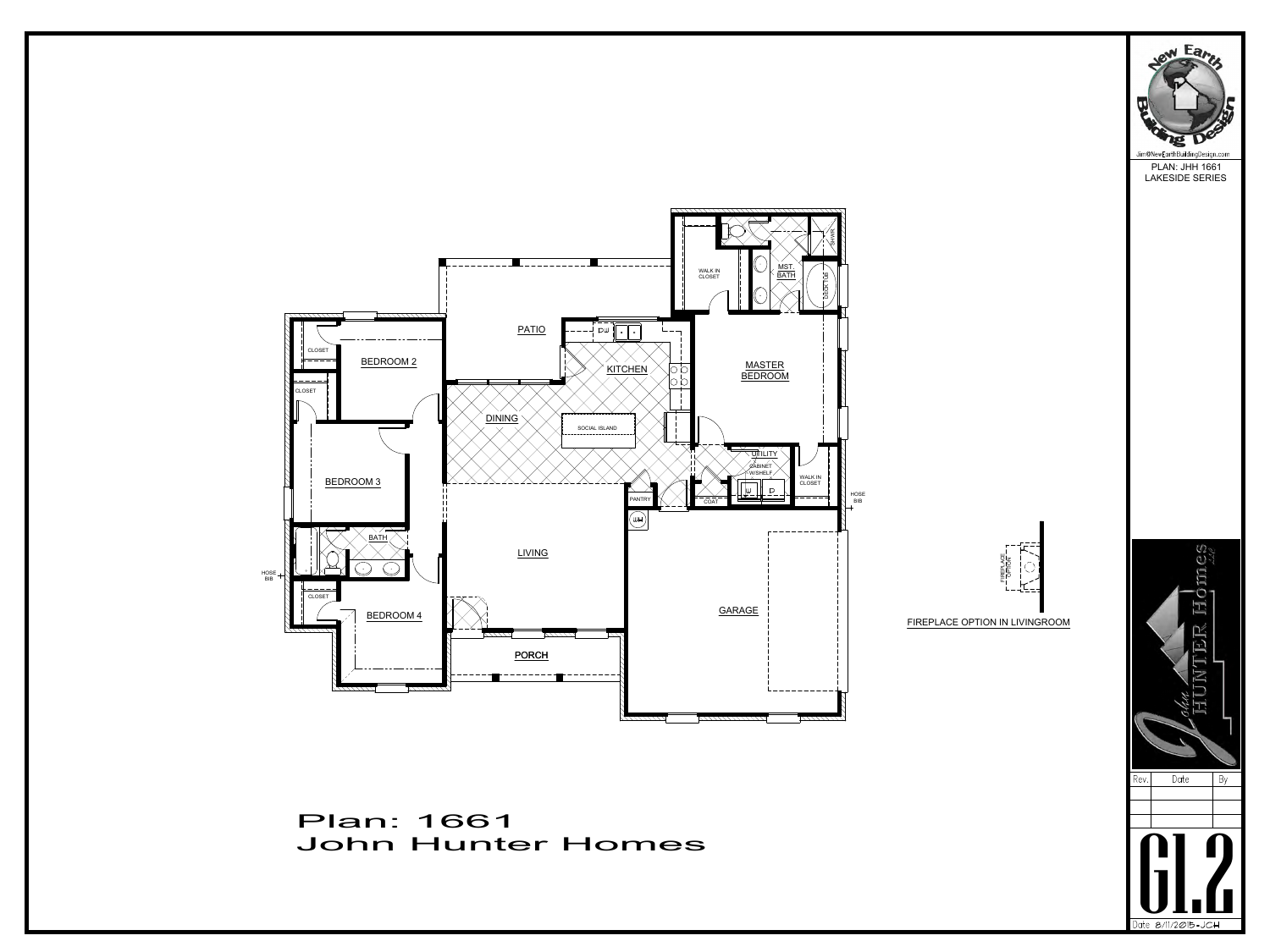## Plan: 1661<br>John Hunter Homes







PLAN: JHH 1661 LAKESIDE SERIES



FIREPLACE OPTION IN LIVINGROOM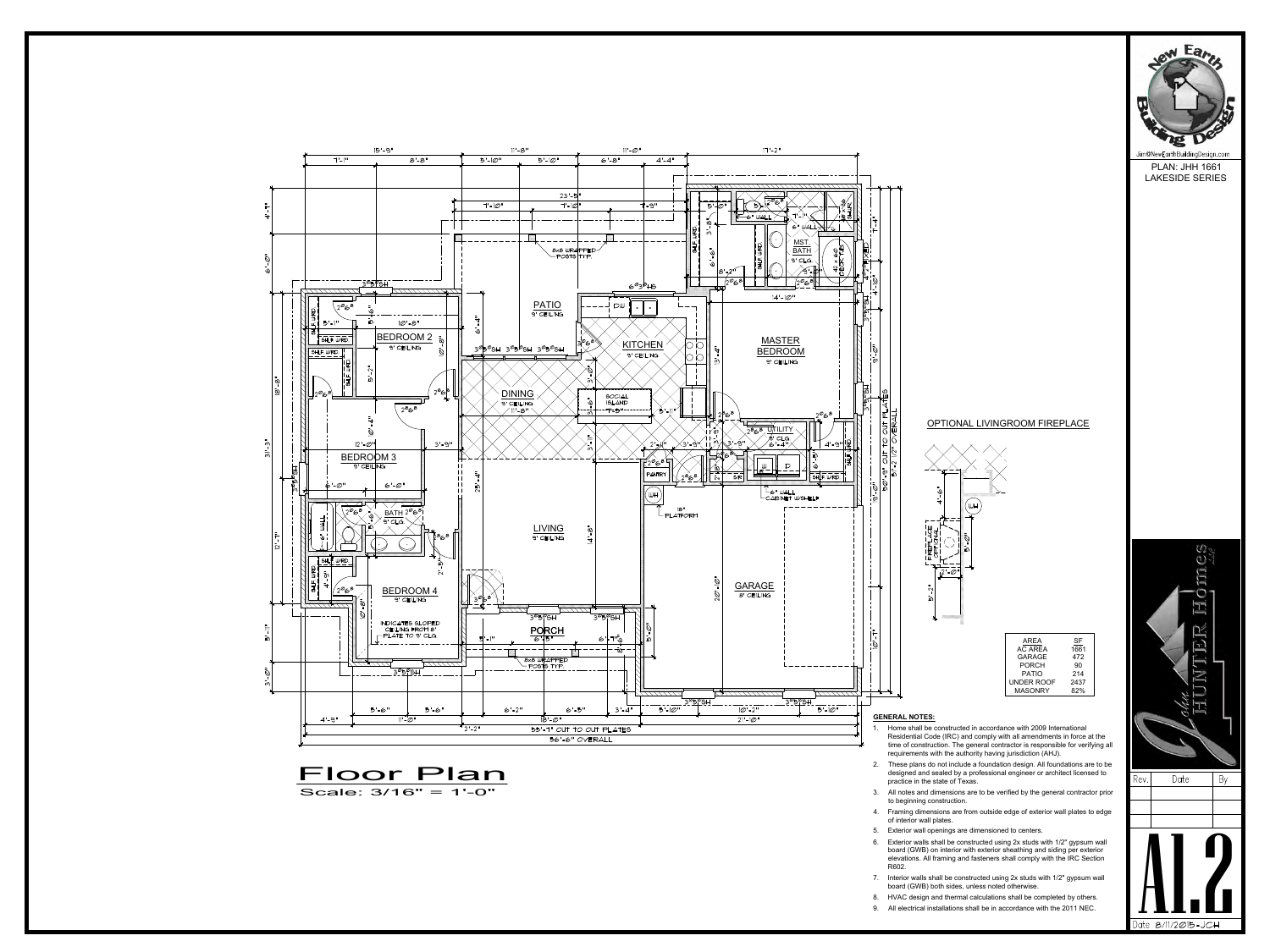

Scale: 3/16" = 1'-0"



PLAN: JHH 1661 LAKESIDE SERIES

Jim@NewEarthBuildingDesign.com

ew Eart



- designed and sealed by a professional engineer or architect licensed to  $\overline{\text{Rev}}$ . practice in the state of Texas. Framing of construction. The general contractor is responsible to<br>requirements with the authority having jurisdiction (AHJ).<br>2. These plans do not include a foundation design. All foundation<br>designed and sealed by a profes
- to beginning construction.
- of interior wall plates.
- 
- Frame plans do not include a foundation design. All foundations are to be designed and sealed by a professional engineer or architect licensed to practice in the state of Texas.<br>
3. All notes and dimensions are to be veri board (GWB) on interior with exterior sheathing and siding per exterior elevations. All framing and fasteners shall comply with the IRC Section R602. 7. In finctes and dimensions are to be verified by the general contractor photomore to beginning construction.<br>
4. Framing dimensions are from outside edge of exterior wall plates to edge of interior wall plates.<br>
5. Exte Frammig unnerisions are nont outside edge or exterior wall plates to edge<br>of interior wall openings are dimensioned to centers.<br>6. Exterior walls shall be constructed using 2x studs with 1/2" gypsum wall<br>board (GWB) on int 9. Exterior wall openings are dimensioned to centers.<br>
9. Exterior walls shall be constructed using  $2x$  studs with  $1/2$ " gypsum wall<br>
board (GWB) on interior with exterior sheathing and siding per exterior<br>
elevations.
- board (GWB) both sides, unless noted otherwise.
- 
-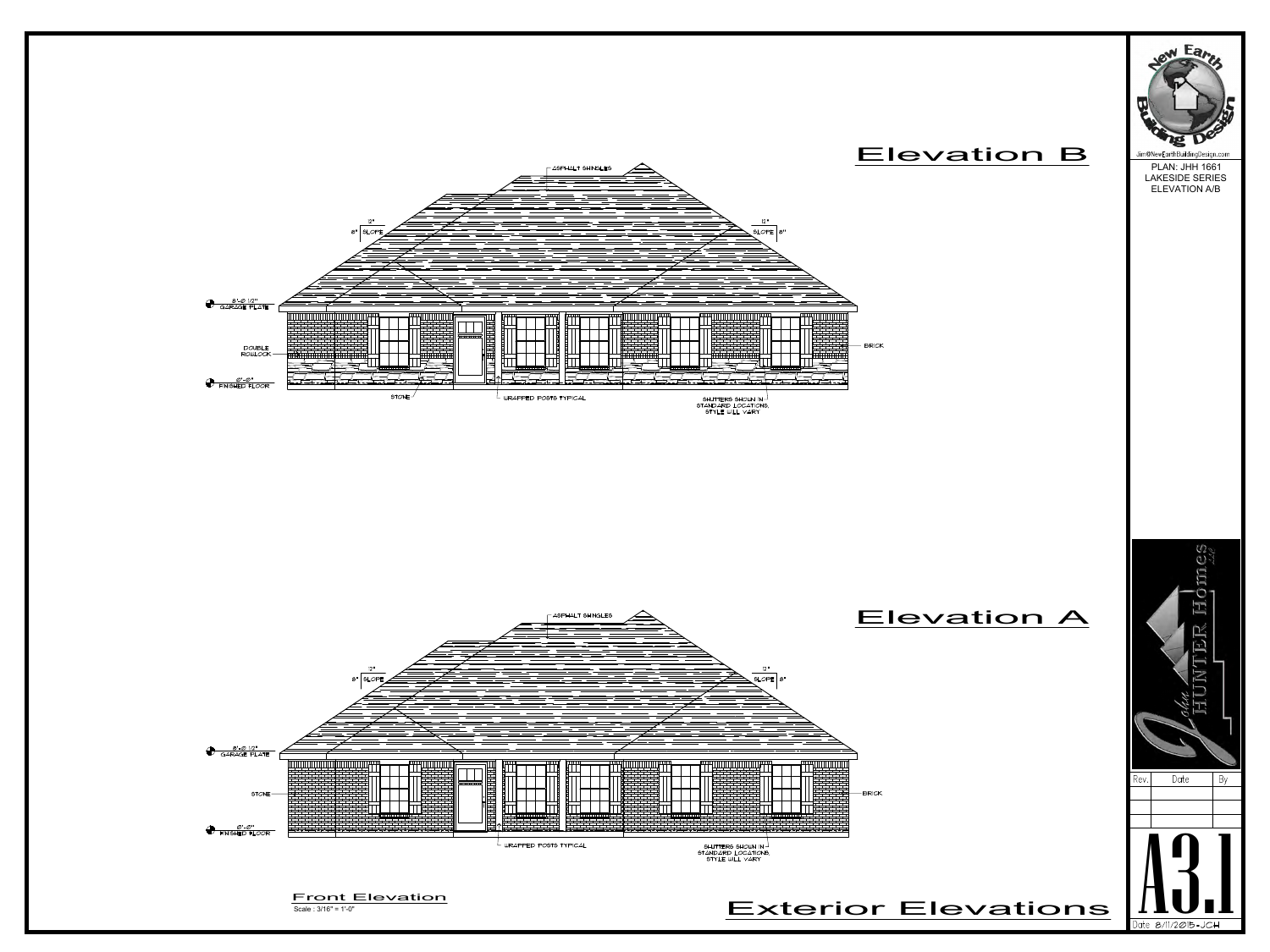





PLAN: JHH 1661 LAKESIDE SERIES ELEVATION A/B

## Elevation B